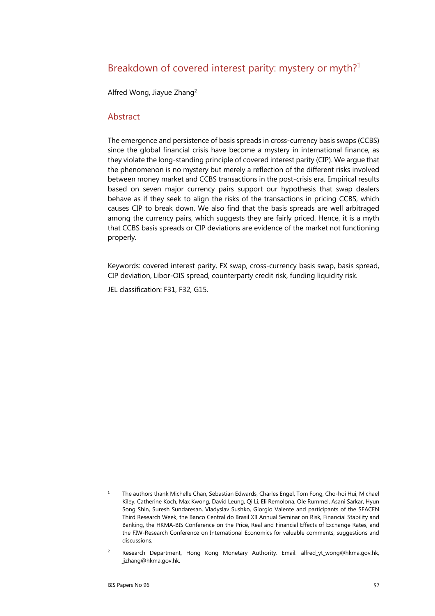# Breakdown of covered interest parity: mystery or myth?<sup>1</sup>

Alfred Wong, Jiayue Zhang2

### Abstract

The emergence and persistence of basis spreads in cross-currency basis swaps (CCBS) since the global financial crisis have become a mystery in international finance, as they violate the long-standing principle of covered interest parity (CIP). We argue that the phenomenon is no mystery but merely a reflection of the different risks involved between money market and CCBS transactions in the post-crisis era. Empirical results based on seven major currency pairs support our hypothesis that swap dealers behave as if they seek to align the risks of the transactions in pricing CCBS, which causes CIP to break down. We also find that the basis spreads are well arbitraged among the currency pairs, which suggests they are fairly priced. Hence, it is a myth that CCBS basis spreads or CIP deviations are evidence of the market not functioning properly.

Keywords: covered interest parity, FX swap, cross-currency basis swap, basis spread, CIP deviation, Libor-OIS spread, counterparty credit risk, funding liquidity risk.

JEL classification: F31, F32, G15.

<sup>1</sup> The authors thank Michelle Chan, Sebastian Edwards, Charles Engel, Tom Fong, Cho-hoi Hui, Michael Kiley, Catherine Koch, Max Kwong, David Leung, Qi Li, Eli Remolona, Ole Rummel, Asani Sarkar, Hyun Song Shin, Suresh Sundaresan, Vladyslav Sushko, Giorgio Valente and participants of the SEACEN Third Research Week, the Banco Central do Brasil XII Annual Seminar on Risk, Financial Stability and Banking, the HKMA-BIS Conference on the Price, Real and Financial Effects of Exchange Rates, and the FIW-Research Conference on International Economics for valuable comments, suggestions and discussions.

 $\overline{2}$  Research Department, Hong Kong Monetary Authority. Email: alfred\_yt\_wong@hkma.gov.hk, jjzhang@hkma.gov.hk.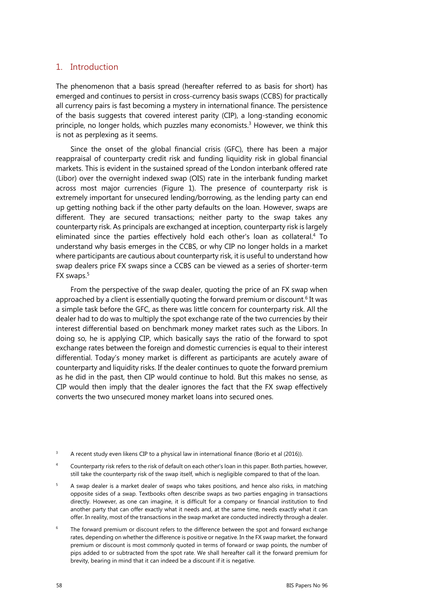## 1. Introduction

The phenomenon that a basis spread (hereafter referred to as basis for short) has emerged and continues to persist in cross-currency basis swaps (CCBS) for practically all currency pairs is fast becoming a mystery in international finance. The persistence of the basis suggests that covered interest parity (CIP), a long-standing economic principle, no longer holds, which puzzles many economists.3 However, we think this is not as perplexing as it seems.

Since the onset of the global financial crisis (GFC), there has been a major reappraisal of counterparty credit risk and funding liquidity risk in global financial markets. This is evident in the sustained spread of the London interbank offered rate (Libor) over the overnight indexed swap (OIS) rate in the interbank funding market across most major currencies (Figure 1). The presence of counterparty risk is extremely important for unsecured lending/borrowing, as the lending party can end up getting nothing back if the other party defaults on the loan. However, swaps are different. They are secured transactions; neither party to the swap takes any counterparty risk. As principals are exchanged at inception, counterparty risk is largely eliminated since the parties effectively hold each other's loan as collateral.4 To understand why basis emerges in the CCBS, or why CIP no longer holds in a market where participants are cautious about counterparty risk, it is useful to understand how swap dealers price FX swaps since a CCBS can be viewed as a series of shorter-term FX swaps.5

From the perspective of the swap dealer, quoting the price of an FX swap when approached by a client is essentially quoting the forward premium or discount.<sup>6</sup> It was a simple task before the GFC, as there was little concern for counterparty risk. All the dealer had to do was to multiply the spot exchange rate of the two currencies by their interest differential based on benchmark money market rates such as the Libors. In doing so, he is applying CIP, which basically says the ratio of the forward to spot exchange rates between the foreign and domestic currencies is equal to their interest differential. Today's money market is different as participants are acutely aware of counterparty and liquidity risks. If the dealer continues to quote the forward premium as he did in the past, then CIP would continue to hold. But this makes no sense, as CIP would then imply that the dealer ignores the fact that the FX swap effectively converts the two unsecured money market loans into secured ones.

- 3 A recent study even likens CIP to a physical law in international finance (Borio et al (2016)).
- 4 Counterparty risk refers to the risk of default on each other's loan in this paper. Both parties, however, still take the counterparty risk of the swap itself, which is negligible compared to that of the loan.
- 5 A swap dealer is a market dealer of swaps who takes positions, and hence also risks, in matching opposite sides of a swap. Textbooks often describe swaps as two parties engaging in transactions directly. However, as one can imagine, it is difficult for a company or financial institution to find another party that can offer exactly what it needs and, at the same time, needs exactly what it can offer. In reality, most of the transactions in the swap market are conducted indirectly through a dealer.
- 6 The forward premium or discount refers to the difference between the spot and forward exchange rates, depending on whether the difference is positive or negative. In the FX swap market, the forward premium or discount is most commonly quoted in terms of forward or swap points, the number of pips added to or subtracted from the spot rate. We shall hereafter call it the forward premium for brevity, bearing in mind that it can indeed be a discount if it is negative.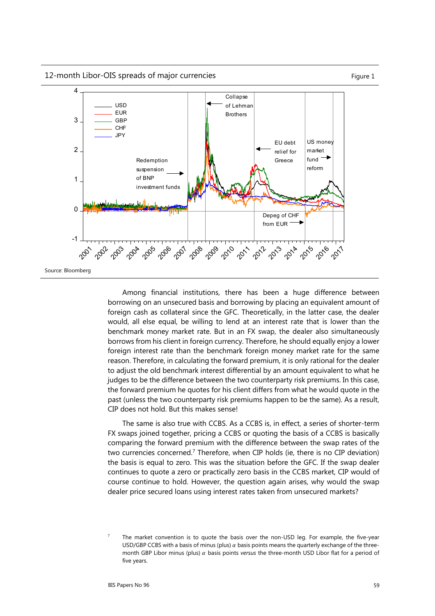12-month Libor-OIS spreads of major currencies Figure 1



Among financial institutions, there has been a huge difference between borrowing on an unsecured basis and borrowing by placing an equivalent amount of foreign cash as collateral since the GFC. Theoretically, in the latter case, the dealer would, all else equal, be willing to lend at an interest rate that is lower than the benchmark money market rate. But in an FX swap, the dealer also simultaneously borrows from his client in foreign currency. Therefore, he should equally enjoy a lower foreign interest rate than the benchmark foreign money market rate for the same reason. Therefore, in calculating the forward premium, it is only rational for the dealer to adjust the old benchmark interest differential by an amount equivalent to what he judges to be the difference between the two counterparty risk premiums. In this case, the forward premium he quotes for his client differs from what he would quote in the past (unless the two counterparty risk premiums happen to be the same). As a result, CIP does not hold. But this makes sense!

The same is also true with CCBS. As a CCBS is, in effect, a series of shorter-term FX swaps joined together, pricing a CCBS or quoting the basis of a CCBS is basically comparing the forward premium with the difference between the swap rates of the two currencies concerned.<sup>7</sup> Therefore, when CIP holds (ie, there is no CIP deviation) the basis is equal to zero. This was the situation before the GFC. If the swap dealer continues to quote a zero or practically zero basis in the CCBS market, CIP would of course continue to hold. However, the question again arises, why would the swap dealer price secured loans using interest rates taken from unsecured markets?

<sup>7</sup> The market convention is to quote the basis over the non-USD leg. For example, the five-year USD/GBP CCBS with a basis of minus (plus)  $\alpha$  basis points means the quarterly exchange of the threemonth GBP Libor minus (plus)  $\alpha$  basis points *versus* the three-month USD Libor flat for a period of five years.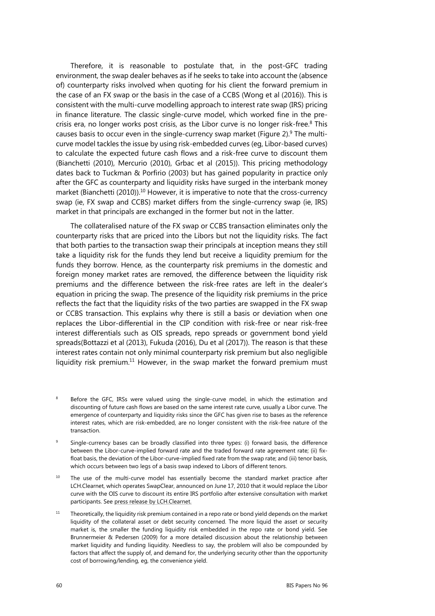Therefore, it is reasonable to postulate that, in the post-GFC trading environment, the swap dealer behaves as if he seeks to take into account the (absence of) counterparty risks involved when quoting for his client the forward premium in the case of an FX swap or the basis in the case of a CCBS (Wong et al (2016)). This is consistent with the multi-curve modelling approach to interest rate swap (IRS) pricing in finance literature. The classic single-curve model, which worked fine in the precrisis era, no longer works post crisis, as the Libor curve is no longer risk-free.<sup>8</sup> This causes basis to occur even in the single-currency swap market (Figure 2). $9$  The multicurve model tackles the issue by using risk-embedded curves (eg, Libor-based curves) to calculate the expected future cash flows and a risk-free curve to discount them (Bianchetti (2010), Mercurio (2010), Grbac et al (2015)). This pricing methodology dates back to Tuckman & Porfirio (2003) but has gained popularity in practice only after the GFC as counterparty and liquidity risks have surged in the interbank money market (Bianchetti (2010)).<sup>10</sup> However, it is imperative to note that the cross-currency swap (ie, FX swap and CCBS) market differs from the single-currency swap (ie, IRS) market in that principals are exchanged in the former but not in the latter.

The collateralised nature of the FX swap or CCBS transaction eliminates only the counterparty risks that are priced into the Libors but not the liquidity risks. The fact that both parties to the transaction swap their principals at inception means they still take a liquidity risk for the funds they lend but receive a liquidity premium for the funds they borrow. Hence, as the counterparty risk premiums in the domestic and foreign money market rates are removed, the difference between the liquidity risk premiums and the difference between the risk-free rates are left in the dealer's equation in pricing the swap. The presence of the liquidity risk premiums in the price reflects the fact that the liquidity risks of the two parties are swapped in the FX swap or CCBS transaction. This explains why there is still a basis or deviation when one replaces the Libor-differential in the CIP condition with risk-free or near risk-free interest differentials such as OIS spreads, repo spreads or government bond yield spreads(Bottazzi et al (2013), Fukuda (2016), Du et al (2017)). The reason is that these interest rates contain not only minimal counterparty risk premium but also negligible liquidity risk premium.<sup>11</sup> However, in the swap market the forward premium must

- 8 Before the GFC, IRSs were valued using the single-curve model, in which the estimation and discounting of future cash flows are based on the same interest rate curve, usually a Libor curve. The emergence of counterparty and liquidity risks since the GFC has given rise to bases as the reference interest rates, which are risk-embedded, are no longer consistent with the risk-free nature of the transaction.
- 9 Single-currency bases can be broadly classified into three types: (i) forward basis, the difference between the Libor-curve-implied forward rate and the traded forward rate agreement rate; (ii) fixfloat basis, the deviation of the Libor-curve-implied fixed rate from the swap rate; and (iii) tenor basis, which occurs between two legs of a basis swap indexed to Libors of different tenors.
- $10$  The use of the multi-curve model has essentially become the standard market practice after LCH.Clearnet, which operates SwapClear, announced on June 17, 2010 that it would replace the Libor curve with the OIS curve to discount its entire IRS portfolio after extensive consultation with market participants. See press release by LCH.Clearnet.
- $11$  Theoretically, the liquidity risk premium contained in a repo rate or bond yield depends on the market liquidity of the collateral asset or debt security concerned. The more liquid the asset or security market is, the smaller the funding liquidity risk embedded in the repo rate or bond yield. See Brunnermeier & Pedersen (2009) for a more detailed discussion about the relationship between market liquidity and funding liquidity. Needless to say, the problem will also be compounded by factors that affect the supply of, and demand for, the underlying security other than the opportunity cost of borrowing/lending, eg, the convenience yield.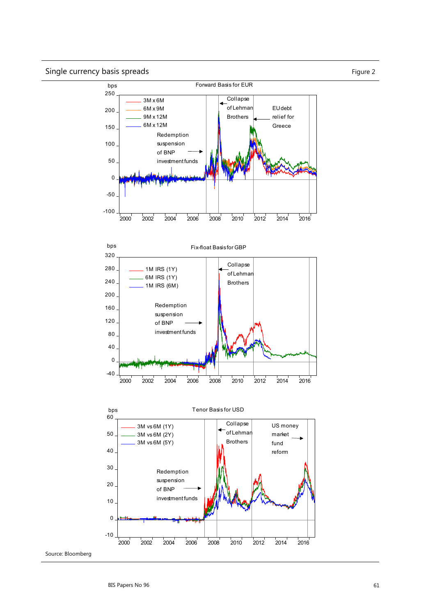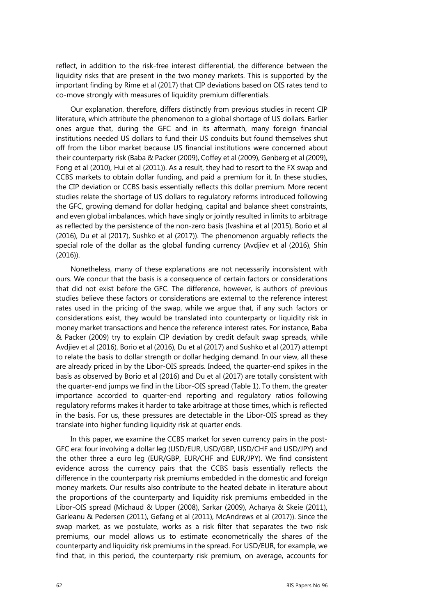reflect, in addition to the risk-free interest differential, the difference between the liquidity risks that are present in the two money markets. This is supported by the important finding by Rime et al (2017) that CIP deviations based on OIS rates tend to co-move strongly with measures of liquidity premium differentials.

Our explanation, therefore, differs distinctly from previous studies in recent CIP literature, which attribute the phenomenon to a global shortage of US dollars. Earlier ones argue that, during the GFC and in its aftermath, many foreign financial institutions needed US dollars to fund their US conduits but found themselves shut off from the Libor market because US financial institutions were concerned about their counterparty risk (Baba & Packer (2009), Coffey et al (2009), Genberg et al (2009), Fong et al (2010), Hui et al (2011)). As a result, they had to resort to the FX swap and CCBS markets to obtain dollar funding, and paid a premium for it. In these studies, the CIP deviation or CCBS basis essentially reflects this dollar premium. More recent studies relate the shortage of US dollars to regulatory reforms introduced following the GFC, growing demand for dollar hedging, capital and balance sheet constraints, and even global imbalances, which have singly or jointly resulted in limits to arbitrage as reflected by the persistence of the non-zero basis (Ivashina et al (2015), Borio et al (2016), Du et al (2017), Sushko et al (2017)). The phenomenon arguably reflects the special role of the dollar as the global funding currency (Avdjiev et al (2016), Shin (2016)).

Nonetheless, many of these explanations are not necessarily inconsistent with ours. We concur that the basis is a consequence of certain factors or considerations that did not exist before the GFC. The difference, however, is authors of previous studies believe these factors or considerations are external to the reference interest rates used in the pricing of the swap, while we argue that, if any such factors or considerations exist, they would be translated into counterparty or liquidity risk in money market transactions and hence the reference interest rates. For instance, Baba & Packer (2009) try to explain CIP deviation by credit default swap spreads, while Avdjiev et al (2016), Borio et al (2016), Du et al (2017) and Sushko et al (2017) attempt to relate the basis to dollar strength or dollar hedging demand. In our view, all these are already priced in by the Libor-OIS spreads. Indeed, the quarter-end spikes in the basis as observed by Borio et al (2016) and Du et al (2017) are totally consistent with the quarter-end jumps we find in the Libor-OIS spread (Table 1). To them, the greater importance accorded to quarter-end reporting and regulatory ratios following regulatory reforms makes it harder to take arbitrage at those times, which is reflected in the basis. For us, these pressures are detectable in the Libor-OIS spread as they translate into higher funding liquidity risk at quarter ends.

In this paper, we examine the CCBS market for seven currency pairs in the post-GFC era: four involving a dollar leg (USD/EUR, USD/GBP, USD/CHF and USD/JPY) and the other three a euro leg (EUR/GBP, EUR/CHF and EUR/JPY). We find consistent evidence across the currency pairs that the CCBS basis essentially reflects the difference in the counterparty risk premiums embedded in the domestic and foreign money markets. Our results also contribute to the heated debate in literature about the proportions of the counterparty and liquidity risk premiums embedded in the Libor-OIS spread (Michaud & Upper (2008), Sarkar (2009), Acharya & Skeie (2011), Garleanu & Pedersen (2011), Gefang et al (2011), McAndrews et al (2017)). Since the swap market, as we postulate, works as a risk filter that separates the two risk premiums, our model allows us to estimate econometrically the shares of the counterparty and liquidity risk premiums in the spread. For USD/EUR, for example, we find that, in this period, the counterparty risk premium, on average, accounts for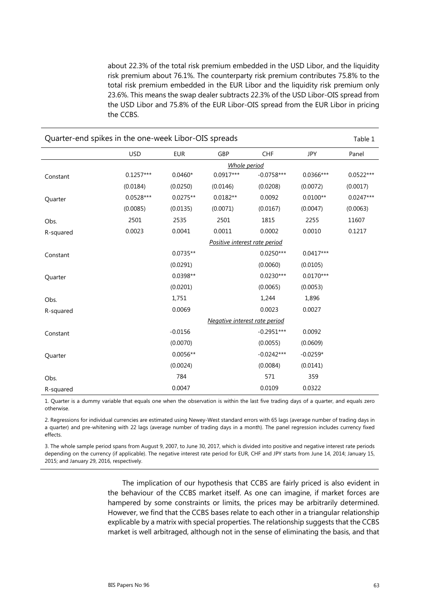about 22.3% of the total risk premium embedded in the USD Libor, and the liquidity risk premium about 76.1%. The counterparty risk premium contributes 75.8% to the total risk premium embedded in the EUR Libor and the liquidity risk premium only 23.6%. This means the swap dealer subtracts 22.3% of the USD Libor-OIS spread from the USD Libor and 75.8% of the EUR Libor-OIS spread from the EUR Libor in pricing the CCBS.

| Quarter-end spikes in the one-week Libor-OIS spreads<br>Table 1 |              |            |                               |              |             |             |  |  |  |
|-----------------------------------------------------------------|--------------|------------|-------------------------------|--------------|-------------|-------------|--|--|--|
|                                                                 | <b>USD</b>   | <b>EUR</b> | GBP                           | <b>CHF</b>   | JPY         | Panel       |  |  |  |
|                                                                 | Whole period |            |                               |              |             |             |  |  |  |
| Constant                                                        | $0.1257***$  | $0.0460*$  | $0.0917***$                   | $-0.0758***$ | $0.0366***$ | $0.0522***$ |  |  |  |
|                                                                 | (0.0184)     | (0.0250)   | (0.0146)                      | (0.0208)     | (0.0072)    | (0.0017)    |  |  |  |
| Quarter                                                         | $0.0528***$  | $0.0275**$ | $0.0182**$                    | 0.0092       | $0.0100**$  | $0.0247***$ |  |  |  |
|                                                                 | (0.0085)     | (0.0135)   | (0.0071)                      | (0.0167)     | (0.0047)    | (0.0063)    |  |  |  |
| Obs.                                                            | 2501         | 2535       | 2501                          | 1815         | 2255        | 11607       |  |  |  |
| R-squared                                                       | 0.0023       | 0.0041     | 0.0011                        | 0.0002       | 0.0010      | 0.1217      |  |  |  |
|                                                                 |              |            | Positive interest rate period |              |             |             |  |  |  |
| Constant                                                        |              | $0.0735**$ |                               | $0.0250***$  | $0.0417***$ |             |  |  |  |
|                                                                 |              | (0.0291)   |                               | (0.0060)     | (0.0105)    |             |  |  |  |
| Quarter                                                         |              | 0.0398**   |                               | $0.0230***$  | $0.0170***$ |             |  |  |  |
|                                                                 |              | (0.0201)   |                               | (0.0065)     | (0.0053)    |             |  |  |  |
| Obs.                                                            |              | 1,751      |                               | 1,244        | 1,896       |             |  |  |  |
| R-squared                                                       |              | 0.0069     |                               | 0.0023       | 0.0027      |             |  |  |  |
|                                                                 |              |            | Negative interest rate period |              |             |             |  |  |  |
| Constant                                                        |              | $-0.0156$  |                               | $-0.2951***$ | 0.0092      |             |  |  |  |
|                                                                 |              | (0.0070)   |                               | (0.0055)     | (0.0609)    |             |  |  |  |
| Quarter                                                         |              | $0.0056**$ |                               | $-0.0242***$ | $-0.0259*$  |             |  |  |  |
|                                                                 |              | (0.0024)   |                               | (0.0084)     | (0.0141)    |             |  |  |  |
| Obs.                                                            |              | 784        |                               | 571          | 359         |             |  |  |  |
| R-squared                                                       |              | 0.0047     |                               | 0.0109       | 0.0322      |             |  |  |  |

1. Quarter is a dummy variable that equals one when the observation is within the last five trading days of a quarter, and equals zero otherwise.

2. Regressions for individual currencies are estimated using Newey-West standard errors with 65 lags (average number of trading days in a quarter) and pre-whitening with 22 lags (average number of trading days in a month). The panel regression includes currency fixed effects.

3. The whole sample period spans from August 9, 2007, to June 30, 2017, which is divided into positive and negative interest rate periods depending on the currency (if applicable). The negative interest rate period for EUR, CHF and JPY starts from June 14, 2014; January 15, 2015; and January 29, 2016, respectively.

> The implication of our hypothesis that CCBS are fairly priced is also evident in the behaviour of the CCBS market itself. As one can imagine, if market forces are hampered by some constraints or limits, the prices may be arbitrarily determined. However, we find that the CCBS bases relate to each other in a triangular relationship explicable by a matrix with special properties. The relationship suggests that the CCBS market is well arbitraged, although not in the sense of eliminating the basis, and that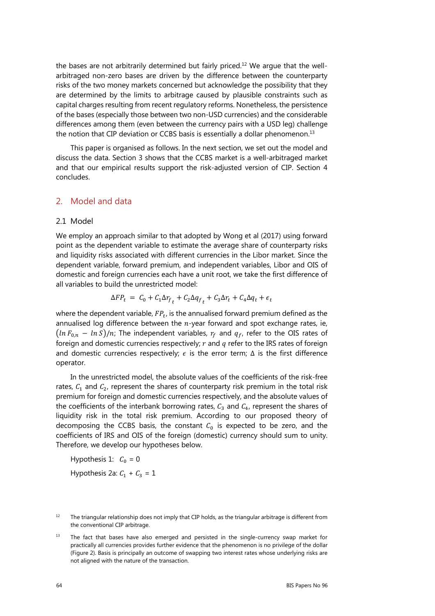the bases are not arbitrarily determined but fairly priced.<sup>12</sup> We argue that the wellarbitraged non-zero bases are driven by the difference between the counterparty risks of the two money markets concerned but acknowledge the possibility that they are determined by the limits to arbitrage caused by plausible constraints such as capital charges resulting from recent regulatory reforms. Nonetheless, the persistence of the bases (especially those between two non-USD currencies) and the considerable differences among them (even between the currency pairs with a USD leg) challenge the notion that CIP deviation or CCBS basis is essentially a dollar phenomenon.<sup>13</sup>

This paper is organised as follows. In the next section, we set out the model and discuss the data. Section 3 shows that the CCBS market is a well-arbitraged market and that our empirical results support the risk-adjusted version of CIP. Section 4 concludes.

## 2. Model and data

## 2.1 Model

We employ an approach similar to that adopted by Wong et al (2017) using forward point as the dependent variable to estimate the average share of counterparty risks and liquidity risks associated with different currencies in the Libor market. Since the dependent variable, forward premium, and independent variables, Libor and OIS of domestic and foreign currencies each have a unit root, we take the first difference of all variables to build the unrestricted model:

$$
\Delta FP_t = C_0 + C_1 \Delta r_{f_t} + C_2 \Delta q_{f_t} + C_3 \Delta r_t + C_4 \Delta q_t + \epsilon_t
$$

where the dependent variable,  $FP_t$ , is the annualised forward premium defined as the annualised log difference between the  $n$ -year forward and spot exchange rates, ie,  $(\ln F_{0,n} - \ln S)/n$ ; The independent variables,  $r_f$  and  $q_f$ , refer to the OIS rates of foreign and domestic currencies respectively;  $r$  and  $q$  refer to the IRS rates of foreign and domestic currencies respectively;  $\epsilon$  is the error term;  $\Delta$  is the first difference operator.

In the unrestricted model, the absolute values of the coefficients of the risk-free rates,  $C_1$  and  $C_2$ , represent the shares of counterparty risk premium in the total risk premium for foreign and domestic currencies respectively, and the absolute values of the coefficients of the interbank borrowing rates,  $C_3$  and  $C_4$ , represent the shares of liquidity risk in the total risk premium. According to our proposed theory of decomposing the CCBS basis, the constant  $C_0$  is expected to be zero, and the coefficients of IRS and OIS of the foreign (domestic) currency should sum to unity. Therefore, we develop our hypotheses below.

Hypothesis 1:  $C_0 = 0$ 

Hypothesis 2a:  $C_1 + C_3 = 1$ 

 $13$  The fact that bases have also emerged and persisted in the single-currency swap market for practically all currencies provides further evidence that the phenomenon is no privilege of the dollar (Figure 2). Basis is principally an outcome of swapping two interest rates whose underlying risks are not aligned with the nature of the transaction.

<sup>&</sup>lt;sup>12</sup> The triangular relationship does not imply that CIP holds, as the triangular arbitrage is different from the conventional CIP arbitrage.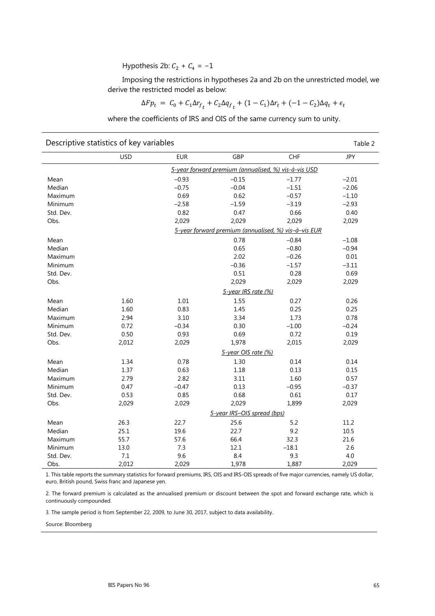Hypothesis 2b:  $C_2 + C_4 = -1$ 

Imposing the restrictions in hypotheses 2a and 2b on the unrestricted model, we derive the restricted model as below:

$$
\Delta F p_t = C_0 + C_1 \Delta r_{f_t} + C_2 \Delta q_{f_t} + (1 - C_1) \Delta r_t + (-1 - C_2) \Delta q_t + \epsilon_t
$$

where the coefficients of IRS and OIS of the same currency sum to unity.

| Descriptive statistics of key variables<br>Table 2   |            |            |                             |                                                      |            |  |  |  |  |
|------------------------------------------------------|------------|------------|-----------------------------|------------------------------------------------------|------------|--|--|--|--|
|                                                      | <b>USD</b> | <b>EUR</b> | GBP                         | CHF                                                  | <b>JPY</b> |  |  |  |  |
| 5-year forward premium (annualised, %) vis-à-vis USD |            |            |                             |                                                      |            |  |  |  |  |
| Mean                                                 |            | $-0.93$    | $-0.15$                     | $-1.77$                                              | $-2.01$    |  |  |  |  |
| Median                                               |            | $-0.75$    | $-0.04$                     | $-1.51$                                              | $-2.06$    |  |  |  |  |
| Maximum                                              |            | 0.69       | 0.62                        | $-0.57$                                              | $-1.10$    |  |  |  |  |
| Minimum                                              |            | $-2.58$    | $-1.59$                     | $-3.19$                                              | $-2.93$    |  |  |  |  |
| Std. Dev.                                            |            | 0.82       | 0.47                        | 0.66                                                 | 0.40       |  |  |  |  |
| Obs.                                                 |            | 2,029      | 2,029                       | 2,029                                                | 2,029      |  |  |  |  |
|                                                      |            |            |                             | 5-year forward premium (annualised, %) vis-à-vis EUR |            |  |  |  |  |
| Mean                                                 |            |            | 0.78                        | $-0.84$                                              | $-1.08$    |  |  |  |  |
| Median                                               |            |            | 0.65                        | $-0.80$                                              | $-0.94$    |  |  |  |  |
| Maximum                                              |            |            | 2.02                        | $-0.26$                                              | 0.01       |  |  |  |  |
| Minimum                                              |            |            | $-0.36$                     | $-1.57$                                              | $-3.11$    |  |  |  |  |
| Std. Dev.                                            |            |            | 0.51                        | 0.28                                                 | 0.69       |  |  |  |  |
| Obs.                                                 |            |            | 2,029                       | 2,029                                                | 2,029      |  |  |  |  |
|                                                      |            |            | 5-year IRS rate (%)         |                                                      |            |  |  |  |  |
| Mean                                                 | 1.60       | $1.01\,$   | 1.55                        | 0.27                                                 | 0.26       |  |  |  |  |
| Median                                               | 1.60       | 0.83       | 1.45                        | 0.25                                                 | 0.25       |  |  |  |  |
| Maximum                                              | 2.94       | 3.10       | 3.34                        | 1.73                                                 | 0.78       |  |  |  |  |
| Minimum                                              | 0.72       | $-0.34$    | 0.30                        | $-1.00$                                              | $-0.24$    |  |  |  |  |
| Std. Dev.                                            | 0.50       | 0.93       | 0.69                        | 0.72                                                 | 0.19       |  |  |  |  |
| Obs.                                                 | 2,012      | 2,029      | 1,978                       | 2,015                                                | 2,029      |  |  |  |  |
|                                                      |            |            | 5-year OIS rate (%)         |                                                      |            |  |  |  |  |
| Mean                                                 | 1.34       | 0.78       | 1.30                        | 0.14                                                 | 0.14       |  |  |  |  |
| Median                                               | 1.37       | 0.63       | 1.18                        | 0.13                                                 | 0.15       |  |  |  |  |
| Maximum                                              | 2.79       | 2.82       | 3.11                        | 1.60                                                 | 0.57       |  |  |  |  |
| Minimum                                              | 0.47       | $-0.47$    | 0.13                        | $-0.95$                                              | $-0.37$    |  |  |  |  |
| Std. Dev.                                            | 0.53       | 0.85       | 0.68                        | 0.61                                                 | 0.17       |  |  |  |  |
| Obs.                                                 | 2,029      | 2,029      | 2,029                       | 1,899                                                | 2,029      |  |  |  |  |
|                                                      |            |            | 5-year IRS-OIS spread (bps) |                                                      |            |  |  |  |  |
| Mean                                                 | 26.3       | 22.7       | 25.6                        | 5.2                                                  | 11.2       |  |  |  |  |
| Median                                               | 25.1       | 19.6       | 22.7                        | 9.2                                                  | 10.5       |  |  |  |  |
| Maximum                                              | 55.7       | 57.6       | 66.4                        | 32.3                                                 | 21.6       |  |  |  |  |
| Minimum                                              | 13.0       | 7.3        | 12.1                        | $-18.1$                                              | 2.6        |  |  |  |  |
| Std. Dev.                                            | $7.1\,$    | 9.6        | 8.4                         | 9.3                                                  | 4.0        |  |  |  |  |
| Obs.                                                 | 2,012      | 2,029      | 1,978                       | 1,887                                                | 2,029      |  |  |  |  |

1. This table reports the summary statistics for forward premiums, IRS, OIS and IRS-OIS spreads of five major currencies, namely US dollar, euro, British pound, Swiss franc and Japanese yen.

2. The forward premium is calculated as the annualised premium or discount between the spot and forward exchange rate, which is continuously compounded.

3. The sample period is from September 22, 2009, to June 30, 2017, subject to data availability.

Source: Bloomberg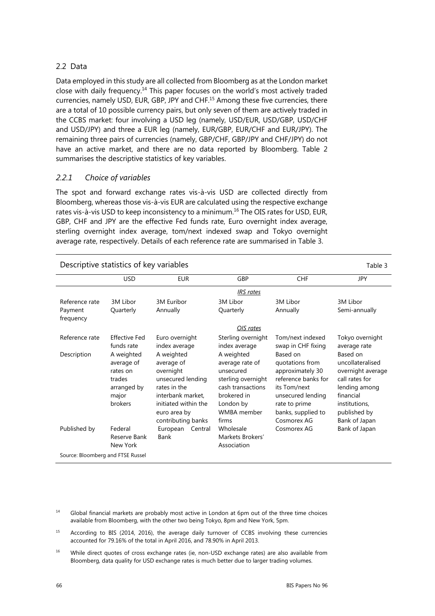## 2.2 Data

Data employed in this study are all collected from Bloomberg as at the London market close with daily frequency.14 This paper focuses on the world's most actively traded currencies, namely USD, EUR, GBP, JPY and CHF.15 Among these five currencies, there are a total of 10 possible currency pairs, but only seven of them are actively traded in the CCBS market: four involving a USD leg (namely, USD/EUR, USD/GBP, USD/CHF and USD/JPY) and three a EUR leg (namely, EUR/GBP, EUR/CHF and EUR/JPY). The remaining three pairs of currencies (namely, GBP/CHF, GBP/JPY and CHF/JPY) do not have an active market, and there are no data reported by Bloomberg. Table 2 summarises the descriptive statistics of key variables.

## *2.2.1 Choice of variables*

The spot and forward exchange rates vis-à-vis USD are collected directly from Bloomberg, whereas those vis-à-vis EUR are calculated using the respective exchange rates vis-à-vis USD to keep inconsistency to a minimum.16 The OIS rates for USD, EUR, GBP, CHF and JPY are the effective Fed funds rate, Euro overnight index average, sterling overnight index average, tom/next indexed swap and Tokyo overnight average rate, respectively. Details of each reference rate are summarised in Table 3.

| Descriptive statistics of key variables<br>Table 3 |                                                                                   |                                                                                                                                                               |                                                                                                                                           |                                                                                                                                                                   |                                                                                                                                                     |  |  |  |  |  |
|----------------------------------------------------|-----------------------------------------------------------------------------------|---------------------------------------------------------------------------------------------------------------------------------------------------------------|-------------------------------------------------------------------------------------------------------------------------------------------|-------------------------------------------------------------------------------------------------------------------------------------------------------------------|-----------------------------------------------------------------------------------------------------------------------------------------------------|--|--|--|--|--|
|                                                    | <b>USD</b>                                                                        | <b>EUR</b>                                                                                                                                                    | GBP                                                                                                                                       | <b>CHF</b>                                                                                                                                                        | <b>JPY</b>                                                                                                                                          |  |  |  |  |  |
|                                                    | <b>IRS</b> rates                                                                  |                                                                                                                                                               |                                                                                                                                           |                                                                                                                                                                   |                                                                                                                                                     |  |  |  |  |  |
| Reference rate                                     | 3M Libor                                                                          | 3M Euribor                                                                                                                                                    | 3M Libor                                                                                                                                  | 3M Libor                                                                                                                                                          | 3M Libor                                                                                                                                            |  |  |  |  |  |
| Payment<br>frequency                               | Quarterly                                                                         | Annually                                                                                                                                                      | Quarterly                                                                                                                                 | Annually                                                                                                                                                          | Semi-annually                                                                                                                                       |  |  |  |  |  |
|                                                    |                                                                                   |                                                                                                                                                               | OIS rates                                                                                                                                 |                                                                                                                                                                   |                                                                                                                                                     |  |  |  |  |  |
| Reference rate                                     | Effective Fed<br>funds rate                                                       | Euro overnight<br>index average                                                                                                                               | Sterling overnight<br>index average                                                                                                       | Tom/next indexed<br>swap in CHF fixing                                                                                                                            | Tokyo overnight<br>average rate                                                                                                                     |  |  |  |  |  |
| Description                                        | A weighted<br>average of<br>rates on<br>trades<br>arranged by<br>major<br>brokers | A weighted<br>average of<br>overnight<br>unsecured lending<br>rates in the<br>interbank market,<br>initiated within the<br>euro area by<br>contributing banks | A weighted<br>average rate of<br>unsecured<br>sterling overnight<br>cash transactions<br>brokered in<br>London by<br>WMBA member<br>firms | Based on<br>quotations from<br>approximately 30<br>reference banks for<br>its Tom/next<br>unsecured lending<br>rate to prime<br>banks, supplied to<br>Cosmorex AG | Based on<br>uncollateralised<br>overnight average<br>call rates for<br>lending among<br>financial<br>institutions,<br>published by<br>Bank of Japan |  |  |  |  |  |
| Published by                                       | Federal<br>Reserve Bank<br>New York                                               | European<br>Central<br>Bank                                                                                                                                   | Wholesale<br>Markets Brokers'<br>Association                                                                                              | Cosmorex AG                                                                                                                                                       | Bank of Japan                                                                                                                                       |  |  |  |  |  |
|                                                    | Source: Bloomberg and FTSE Russel                                                 |                                                                                                                                                               |                                                                                                                                           |                                                                                                                                                                   |                                                                                                                                                     |  |  |  |  |  |

- <sup>14</sup> Global financial markets are probably most active in London at 6pm out of the three time choices available from Bloomberg, with the other two being Tokyo, 8pm and New York, 5pm.
- <sup>15</sup> According to BIS (2014, 2016), the average daily turnover of CCBS involving these currencies accounted for 79.16% of the total in April 2016, and 78.90% in April 2013.
- <sup>16</sup> While direct quotes of cross exchange rates (ie, non-USD exchange rates) are also available from Bloomberg, data quality for USD exchange rates is much better due to larger trading volumes.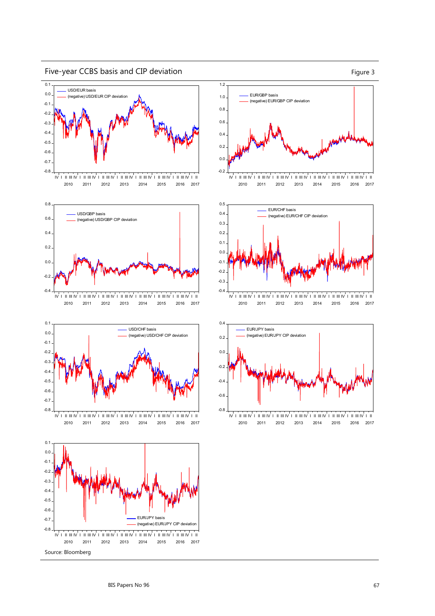

Five-year CCBS basis and CIP deviation Figure 3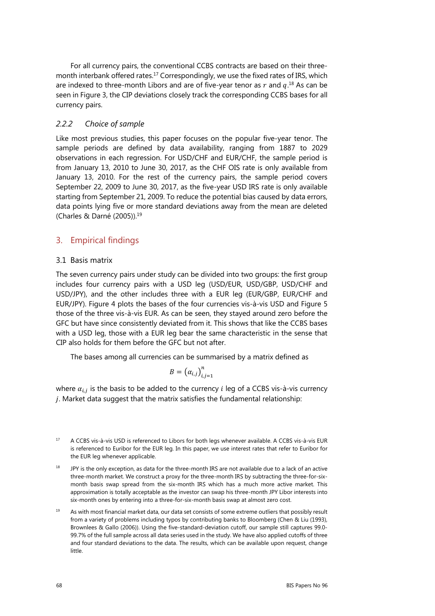For all currency pairs, the conventional CCBS contracts are based on their threemonth interbank offered rates.<sup>17</sup> Correspondingly, we use the fixed rates of IRS, which are indexed to three-month Libors and are of five-year tenor as  $r$  and  $q$ .<sup>18</sup> As can be seen in Figure 3, the CIP deviations closely track the corresponding CCBS bases for all currency pairs.

## *2.2.2 Choice of sample*

Like most previous studies, this paper focuses on the popular five-year tenor. The sample periods are defined by data availability, ranging from 1887 to 2029 observations in each regression. For USD/CHF and EUR/CHF, the sample period is from January 13, 2010 to June 30, 2017, as the CHF OIS rate is only available from January 13, 2010. For the rest of the currency pairs, the sample period covers September 22, 2009 to June 30, 2017, as the five-year USD IRS rate is only available starting from September 21, 2009. To reduce the potential bias caused by data errors, data points lying five or more standard deviations away from the mean are deleted (Charles & Darné (2005)).19

## 3. Empirical findings

## 3.1 Basis matrix

The seven currency pairs under study can be divided into two groups: the first group includes four currency pairs with a USD leg (USD/EUR, USD/GBP, USD/CHF and USD/JPY), and the other includes three with a EUR leg (EUR/GBP, EUR/CHF and EUR/JPY). Figure 4 plots the bases of the four currencies vis-à-vis USD and Figure 5 those of the three vis-à-vis EUR. As can be seen, they stayed around zero before the GFC but have since consistently deviated from it. This shows that like the CCBS bases with a USD leg, those with a EUR leg bear the same characteristic in the sense that CIP also holds for them before the GFC but not after.

The bases among all currencies can be summarised by a matrix defined as

$$
B = \left(\alpha_{i,j}\right)_{i,j=1}^n
$$

where  $\alpha_{i,j}$  is the basis to be added to the currency *i* leg of a CCBS vis-à-vis currency  $j.$  Market data suggest that the matrix satisfies the fundamental relationship:

- <sup>17</sup> A CCBS vis-à-vis USD is referenced to Libors for both legs whenever available. A CCBS vis-à-vis EUR is referenced to Euribor for the EUR leg. In this paper, we use interest rates that refer to Euribor for the EUR leg whenever applicable.
- <sup>18</sup> JPY is the only exception, as data for the three-month IRS are not available due to a lack of an active three-month market. We construct a proxy for the three-month IRS by subtracting the three-for-sixmonth basis swap spread from the six-month IRS which has a much more active market. This approximation is totally acceptable as the investor can swap his three-month JPY Libor interests into six-month ones by entering into a three-for-six-month basis swap at almost zero cost.
- <sup>19</sup> As with most financial market data, our data set consists of some extreme outliers that possibly result from a variety of problems including typos by contributing banks to Bloomberg (Chen & Liu (1993), Brownlees & Gallo (2006)). Using the five-standard-deviation cutoff, our sample still captures 99.0- 99.7% of the full sample across all data series used in the study. We have also applied cutoffs of three and four standard deviations to the data. The results, which can be available upon request, change little.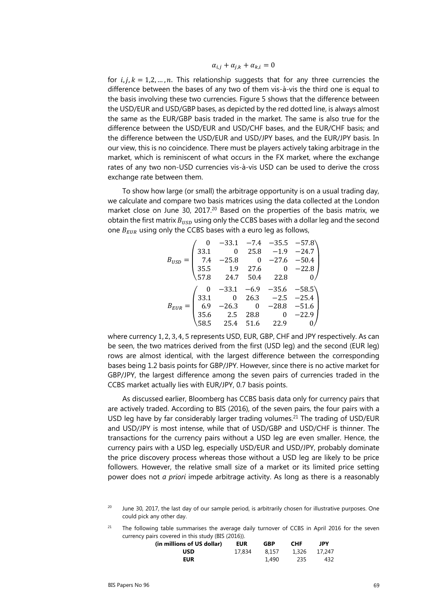$$
\alpha_{i,j} + \alpha_{j,k} + \alpha_{k,i} = 0
$$

for  $i, j, k = 1, 2, ..., n$ . This relationship suggests that for any three currencies the difference between the bases of any two of them vis-à-vis the third one is equal to the basis involving these two currencies. Figure 5 shows that the difference between the USD/EUR and USD/GBP bases, as depicted by the red dotted line, is always almost the same as the EUR/GBP basis traded in the market. The same is also true for the difference between the USD/EUR and USD/CHF bases, and the EUR/CHF basis; and the difference between the USD/EUR and USD/JPY bases, and the EUR/JPY basis. In our view, this is no coincidence. There must be players actively taking arbitrage in the market, which is reminiscent of what occurs in the FX market, where the exchange rates of any two non-USD currencies vis-à-vis USD can be used to derive the cross exchange rate between them.

To show how large (or small) the arbitrage opportunity is on a usual trading day, we calculate and compare two basis matrices using the data collected at the London market close on June 30, 2017.<sup>20</sup> Based on the properties of the basis matrix, we obtain the first matrix  $B_{USD}$  using only the CCBS bases with a dollar leg and the second one  $B_{EUR}$  using only the CCBS bases with a euro leg as follows,

|           |      |                                                                    |                                                  | $-33.1$ $-7.4$ $-35.5$ $-57.8$<br>0 25.8 $-1.9$ $-24.7$ |         |
|-----------|------|--------------------------------------------------------------------|--------------------------------------------------|---------------------------------------------------------|---------|
|           | 33.1 |                                                                    |                                                  |                                                         |         |
|           | 7.4  |                                                                    |                                                  | $0 -27.6$                                               | $-50.4$ |
|           | 35.5 |                                                                    | 27.6                                             | 0                                                       | $-22.8$ |
|           | 57.8 | $-25.8$<br>1.9<br>24.7                                             | 50.4                                             | 22.8                                                    |         |
|           |      |                                                                    |                                                  |                                                         |         |
|           |      |                                                                    |                                                  |                                                         |         |
|           | 33.1 |                                                                    |                                                  |                                                         |         |
|           | 6.9  | $-33.1$ $-6.9$ $-35.6$ $-58.5$<br>0 26.3 $-2.5$ $-25.4$<br>$-26.3$ |                                                  | $-28.8$                                                 | $-51.6$ |
| $B_{EUR}$ | 35.6 | 2.5                                                                | $\begin{array}{c} 0 \\ 28.8 \end{array}$<br>51.6 | $\boldsymbol{0}$                                        | $-22.9$ |

where currency 1, 2, 3, 4, 5 represents USD, EUR, GBP, CHF and JPY respectively. As can be seen, the two matrices derived from the first (USD leg) and the second (EUR leg) rows are almost identical, with the largest difference between the corresponding bases being 1.2 basis points for GBP/JPY. However, since there is no active market for GBP/JPY, the largest difference among the seven pairs of currencies traded in the CCBS market actually lies with EUR/JPY, 0.7 basis points.

As discussed earlier, Bloomberg has CCBS basis data only for currency pairs that are actively traded. According to BIS (2016), of the seven pairs, the four pairs with a USD leg have by far considerably larger trading volumes.<sup>21</sup> The trading of USD/EUR and USD/JPY is most intense, while that of USD/GBP and USD/CHF is thinner. The transactions for the currency pairs without a USD leg are even smaller. Hence, the currency pairs with a USD leg, especially USD/EUR and USD/JPY, probably dominate the price discovery process whereas those without a USD leg are likely to be price followers. However, the relative small size of a market or its limited price setting power does not *a priori* impede arbitrage activity. As long as there is a reasonably

 $21$  The following table summarises the average daily turnover of CCBS in April 2016 for the seven currency pairs covered in this study (BIS (2016)).

| (in millions of US dollar) | <b>EUR</b> | GBP   | <b>CHF</b> | JPY          |
|----------------------------|------------|-------|------------|--------------|
| USD                        | 17.834     | 8.157 |            | 1.326 17.247 |
| <b>EUR</b>                 |            | 1,490 | 235        | 432          |

June 30, 2017, the last day of our sample period, is arbitrarily chosen for illustrative purposes. One could pick any other day.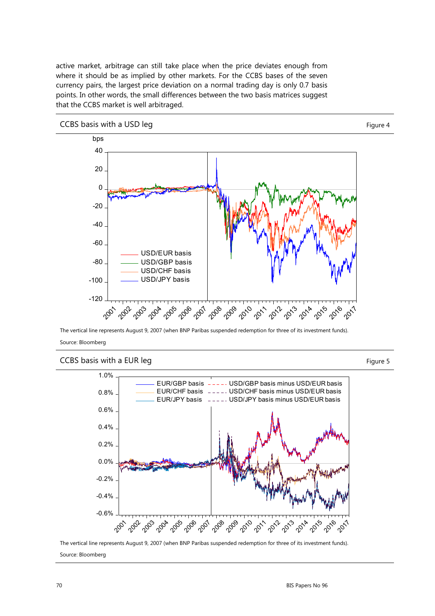active market, arbitrage can still take place when the price deviates enough from where it should be as implied by other markets. For the CCBS bases of the seven currency pairs, the largest price deviation on a normal trading day is only 0.7 basis points. In other words, the small differences between the two basis matrices suggest that the CCBS market is well arbitraged.



The vertical line represents August 9, 2007 (when BNP Paribas suspended redemption for three of its investment funds). Source: Bloomberg

# CCBS basis with a EUR leg Figure 5



The vertical line represents August 9, 2007 (when BNP Paribas suspended redemption for three of its investment funds). Source: Bloomberg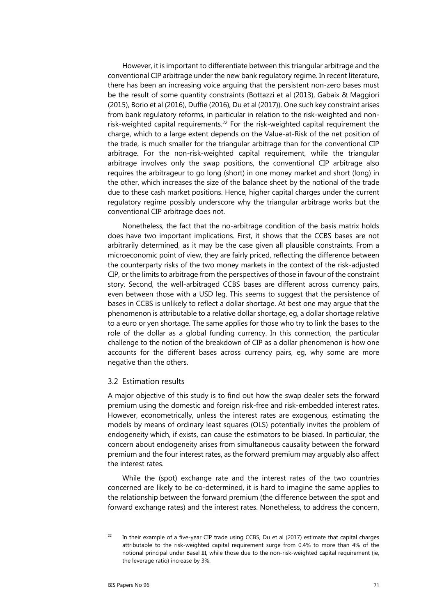However, it is important to differentiate between this triangular arbitrage and the conventional CIP arbitrage under the new bank regulatory regime. In recent literature, there has been an increasing voice arguing that the persistent non-zero bases must be the result of some quantity constraints (Bottazzi et al (2013), Gabaix & Maggiori (2015), Borio et al (2016), Duffie (2016), Du et al (2017)). One such key constraint arises from bank regulatory reforms, in particular in relation to the risk-weighted and nonrisk-weighted capital requirements.<sup>22</sup> For the risk-weighted capital requirement the charge, which to a large extent depends on the Value-at-Risk of the net position of the trade, is much smaller for the triangular arbitrage than for the conventional CIP arbitrage. For the non-risk-weighted capital requirement, while the triangular arbitrage involves only the swap positions, the conventional CIP arbitrage also requires the arbitrageur to go long (short) in one money market and short (long) in the other, which increases the size of the balance sheet by the notional of the trade due to these cash market positions. Hence, higher capital charges under the current regulatory regime possibly underscore why the triangular arbitrage works but the conventional CIP arbitrage does not.

Nonetheless, the fact that the no-arbitrage condition of the basis matrix holds does have two important implications. First, it shows that the CCBS bases are not arbitrarily determined, as it may be the case given all plausible constraints. From a microeconomic point of view, they are fairly priced, reflecting the difference between the counterparty risks of the two money markets in the context of the risk-adjusted CIP, or the limits to arbitrage from the perspectives of those in favour of the constraint story. Second, the well-arbitraged CCBS bases are different across currency pairs, even between those with a USD leg. This seems to suggest that the persistence of bases in CCBS is unlikely to reflect a dollar shortage. At best one may argue that the phenomenon is attributable to a relative dollar shortage, eg, a dollar shortage relative to a euro or yen shortage. The same applies for those who try to link the bases to the role of the dollar as a global funding currency. In this connection, the particular challenge to the notion of the breakdown of CIP as a dollar phenomenon is how one accounts for the different bases across currency pairs, eg, why some are more negative than the others.

#### 3.2 Estimation results

A major objective of this study is to find out how the swap dealer sets the forward premium using the domestic and foreign risk-free and risk-embedded interest rates. However, econometrically, unless the interest rates are exogenous, estimating the models by means of ordinary least squares (OLS) potentially invites the problem of endogeneity which, if exists, can cause the estimators to be biased. In particular, the concern about endogeneity arises from simultaneous causality between the forward premium and the four interest rates, as the forward premium may arguably also affect the interest rates.

While the (spot) exchange rate and the interest rates of the two countries concerned are likely to be co-determined, it is hard to imagine the same applies to the relationship between the forward premium (the difference between the spot and forward exchange rates) and the interest rates. Nonetheless, to address the concern,

 $22$  In their example of a five-year CIP trade using CCBS, Du et al (2017) estimate that capital charges attributable to the risk-weighted capital requirement surge from 0.4% to more than 4% of the notional principal under Basel III, while those due to the non-risk-weighted capital requirement (ie, the leverage ratio) increase by 3%.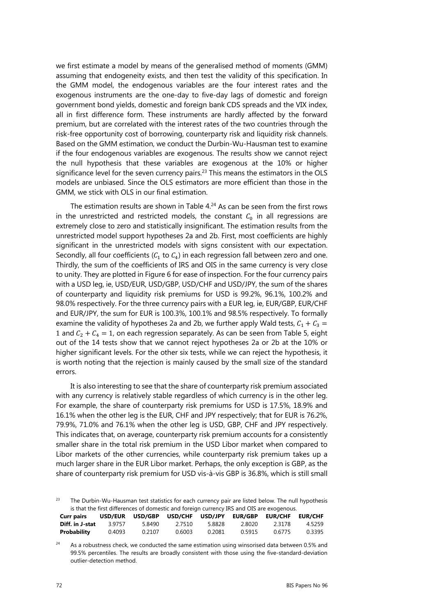we first estimate a model by means of the generalised method of moments (GMM) assuming that endogeneity exists, and then test the validity of this specification. In the GMM model, the endogenous variables are the four interest rates and the exogenous instruments are the one-day to five-day lags of domestic and foreign government bond yields, domestic and foreign bank CDS spreads and the VIX index, all in first difference form. These instruments are hardly affected by the forward premium, but are correlated with the interest rates of the two countries through the risk-free opportunity cost of borrowing, counterparty risk and liquidity risk channels. Based on the GMM estimation, we conduct the Durbin-Wu-Hausman test to examine if the four endogenous variables are exogenous. The results show we cannot reject the null hypothesis that these variables are exogenous at the 10% or higher significance level for the seven currency pairs.<sup>23</sup> This means the estimators in the OLS models are unbiased. Since the OLS estimators are more efficient than those in the GMM, we stick with OLS in our final estimation.

The estimation results are shown in Table  $4.24$  As can be seen from the first rows in the unrestricted and restricted models, the constant  $C_0$  in all regressions are extremely close to zero and statistically insignificant. The estimation results from the unrestricted model support hypotheses 2a and 2b. First, most coefficients are highly significant in the unrestricted models with signs consistent with our expectation. Secondly, all four coefficients ( $C_1$  to  $C_4$ ) in each regression fall between zero and one. Thirdly, the sum of the coefficients of IRS and OIS in the same currency is very close to unity. They are plotted in Figure 6 for ease of inspection. For the four currency pairs with a USD leg, ie, USD/EUR, USD/GBP, USD/CHF and USD/JPY, the sum of the shares of counterparty and liquidity risk premiums for USD is 99.2%, 96.1%, 100.2% and 98.0% respectively. For the three currency pairs with a EUR leg, ie, EUR/GBP, EUR/CHF and EUR/JPY, the sum for EUR is 100.3%, 100.1% and 98.5% respectively. To formally examine the validity of hypotheses 2a and 2b, we further apply Wald tests,  $C_1 + C_3 =$ 1 and  $C_2 + C_4 = 1$ , on each regression separately. As can be seen from Table 5, eight out of the 14 tests show that we cannot reject hypotheses 2a or 2b at the 10% or higher significant levels. For the other six tests, while we can reject the hypothesis, it is worth noting that the rejection is mainly caused by the small size of the standard errors.

It is also interesting to see that the share of counterparty risk premium associated with any currency is relatively stable regardless of which currency is in the other leg. For example, the share of counterparty risk premiums for USD is 17.5%, 18.9% and 16.1% when the other leg is the EUR, CHF and JPY respectively; that for EUR is 76.2%, 79.9%, 71.0% and 76.1% when the other leg is USD, GBP, CHF and JPY respectively. This indicates that, on average, counterparty risk premium accounts for a consistently smaller share in the total risk premium in the USD Libor market when compared to Libor markets of the other currencies, while counterparty risk premium takes up a much larger share in the EUR Libor market. Perhaps, the only exception is GBP, as the share of counterparty risk premium for USD vis-à-vis GBP is 36.8%, which is still small

<sup>23</sup> The Durbin-Wu-Hausman test statistics for each currency pair are listed below. The null hypothesis is that the first differences of domestic and foreign currency IRS and OIS are exogenous.

| <b>Curr pairs</b> |        | USD/EUR USD/GBP USD/CHF USD/JPY EUR/GBP EUR/CHF EUR/CHF |        |        |        |        |        |
|-------------------|--------|---------------------------------------------------------|--------|--------|--------|--------|--------|
| Diff. in J-stat   | 3 9757 | 5.8490                                                  | 2 7510 | 5.8828 | 2.8020 | 2.3178 | 4.5259 |
| Probability       | 0.4093 | 0.2107                                                  | 0.6003 | 0.2081 | 0.5915 | 0.6775 | 0.3395 |

<sup>24</sup> As a robustness check, we conducted the same estimation using winsorised data between 0.5% and 99.5% percentiles. The results are broadly consistent with those using the five-standard-deviation outlier-detection method.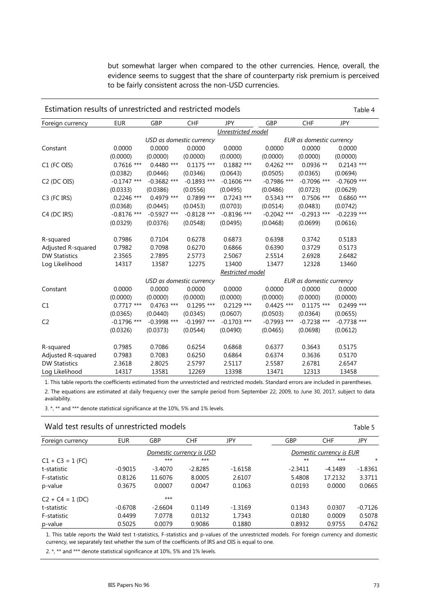but somewhat larger when compared to the other currencies. Hence, overall, the evidence seems to suggest that the share of counterparty risk premium is perceived to be fairly consistent across the non-USD currencies.

| Estimation results of unrestricted and restricted models<br>Table 4 |                    |                          |               |                         |               |                          |               |
|---------------------------------------------------------------------|--------------------|--------------------------|---------------|-------------------------|---------------|--------------------------|---------------|
| Foreign currency                                                    | <b>EUR</b>         | GBP                      | <b>CHF</b>    | <b>JPY</b>              | GBP           | CHF                      | <b>JPY</b>    |
|                                                                     | Unrestricted model |                          |               |                         |               |                          |               |
|                                                                     |                    | USD as domestic currency |               |                         |               | EUR as domestic currency |               |
| Constant                                                            | 0.0000             | 0.0000                   | 0.0000        | 0.0000                  | 0.0000        | 0.0000                   | 0.0000        |
|                                                                     | (0.0000)           | (0.0000)                 | (0.0000)      | (0.0000)                | (0.0000)      | (0.0000)                 | (0.0000)      |
| C1 (FC OIS)                                                         | $0.7616$ ***       | $0.4480$ ***             | $0.1175$ ***  | $0.1882$ ***            | $0.4262$ ***  | $0.0936**$               | $0.2143$ ***  |
|                                                                     | (0.0382)           | (0.0446)                 | (0.0346)      | (0.0643)                | (0.0505)      | (0.0365)                 | (0.0694)      |
| C <sub>2</sub> (DC OIS)                                             | $-0.1747$ ***      | $-0.3682$ ***            | $-0.1893$ *** | $-0.1606$ ***           | $-0.7986$ *** | $-0.7096$ ***            | $-0.7609$ *** |
|                                                                     | (0.0333)           | (0.0386)                 | (0.0556)      | (0.0495)                | (0.0486)      | (0.0723)                 | (0.0629)      |
| C <sub>3</sub> (FC IRS)                                             | $0.2246$ ***       | 0.4979 ***               | 0.7899 ***    | $0.7243$ ***            | $0.5343$ ***  | $0.7506$ ***             | $0.6860$ ***  |
|                                                                     | (0.0368)           | (0.0445)                 | (0.0453)      | (0.0703)                | (0.0514)      | (0.0483)                 | (0.0742)      |
| C4 (DC IRS)                                                         | $-0.8176$ ***      | $-0.5927$ ***            | $-0.8128$ *** | $-0.8196$ ***           | $-0.2042$ *** | $-0.2913$ ***            | $-0.2239$ *** |
|                                                                     | (0.0329)           | (0.0376)                 | (0.0548)      | (0.0495)                | (0.0468)      | (0.0699)                 | (0.0616)      |
| R-squared                                                           | 0.7986             | 0.7104                   | 0.6278        | 0.6873                  | 0.6398        | 0.3742                   | 0.5183        |
| Adjusted R-squared                                                  | 0.7982             | 0.7098                   | 0.6270        | 0.6866                  | 0.6390        | 0.3729                   | 0.5173        |
| <b>DW Statistics</b>                                                | 2.3565             | 2.7895                   | 2.5773        | 2.5067                  | 2.5514        | 2.6928                   | 2.6482        |
| Log Likelihood                                                      | 14317              | 13587                    | 12275         | 13400                   | 13477         | 12328                    | 13460         |
|                                                                     |                    |                          |               | <u>Restricted model</u> |               |                          |               |
|                                                                     |                    | USD as domestic currency |               |                         |               | EUR as domestic currency |               |
| Constant                                                            | 0.0000             | 0.0000                   | 0.0000        | 0.0000                  | 0.0000        | 0.0000                   | 0.0000        |
|                                                                     | (0.0000)           | (0.0000)                 | (0.0000)      | (0.0000)                | (0.0000)      | (0.0000)                 | (0.0000)      |
| C1                                                                  | $0.7717$ ***       | $0.4763$ ***             | $0.1295$ ***  | $0.2129$ ***            | $0.4425$ ***  | $0.1175$ ***             | $0.2499$ ***  |
|                                                                     | (0.0365)           | (0.0440)                 | (0.0345)      | (0.0607)                | (0.0503)      | (0.0364)                 | (0.0655)      |
| C <sub>2</sub>                                                      | $-0.1796$ ***      | $-0.3998$ ***            | $-0.1997$ *** | $-0.1703$ ***           | $-0.7993$ *** | $-0.7238$ ***            | $-0.7738$ *** |
|                                                                     | (0.0326)           | (0.0373)                 | (0.0544)      | (0.0490)                | (0.0465)      | (0.0698)                 | (0.0612)      |
| R-squared                                                           | 0.7985             | 0.7086                   | 0.6254        | 0.6868                  | 0.6377        | 0.3643                   | 0.5175        |
| Adjusted R-squared                                                  | 0.7983             | 0.7083                   | 0.6250        | 0.6864                  | 0.6374        | 0.3636                   | 0.5170        |
| <b>DW Statistics</b>                                                | 2.3618             | 2.8025                   | 2.5797        | 2.5117                  | 2.5587        | 2.6781                   | 2.6547        |
| Log Likelihood                                                      | 14317              | 13581                    | 12269         | 13398                   | 13471         | 12313                    | 13458         |

1. This table reports the coefficients estimated from the unrestricted and restricted models. Standard errors are included in parentheses. 2. The equations are estimated at daily frequency over the sample period from September 22, 2009, to June 30, 2017, subject to data availability.

3. \*, \*\* and \*\*\* denote statistical significance at the 10%, 5% and 1% levels.

### Wald test results of unrestricted models Table 5

| Foreign currency   | <b>EUR</b>               | GBP       | <b>CHF</b> | JPY       | GBP       | <b>CHF</b>               | JPY       |
|--------------------|--------------------------|-----------|------------|-----------|-----------|--------------------------|-----------|
|                    | Domestic currency is USD |           |            |           |           | Domestic currency is EUR |           |
| $C1 + C3 = 1$ (FC) |                          | $***$     | $***$      |           | $***$     | $***$                    | $\star$   |
| t-statistic        | $-0.9015$                | $-3.4070$ | $-2.8285$  | $-1.6158$ | $-2.3411$ | $-4.1489$                | $-1.8361$ |
| F-statistic        | 0.8126                   | 11.6076   | 8.0005     | 2.6107    | 5.4808    | 17.2132                  | 3.3711    |
| p-value            | 0.3675                   | 0.0007    | 0.0047     | 0.1063    | 0.0193    | 0.0000                   | 0.0665    |
| $C2 + C4 = 1 (DC)$ |                          | $***$     |            |           |           |                          |           |
| t-statistic        | $-0.6708$                | $-2.6604$ | 0.1149     | $-1.3169$ | 0.1343    | 0.0307                   | $-0.7126$ |
| F-statistic        | 0.4499                   | 7.0778    | 0.0132     | 1.7343    | 0.0180    | 0.0009                   | 0.5078    |
| p-value            | 0.5025                   | 0.0079    | 0.9086     | 0.1880    | 0.8932    | 0.9755                   | 0.4762    |

1. This table reports the Wald test t-statistics, F-statistics and p-values of the unrestricted models. For foreign currency and domestic currency, we separately test whether the sum of the coefficients of IRS and OIS is equal to one.

2. \*, \*\* and \*\*\* denote statistical significance at 10%, 5% and 1% levels.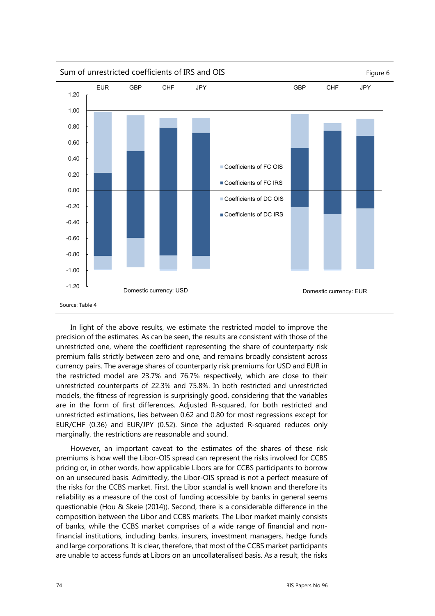

In light of the above results, we estimate the restricted model to improve the precision of the estimates. As can be seen, the results are consistent with those of the unrestricted one, where the coefficient representing the share of counterparty risk premium falls strictly between zero and one, and remains broadly consistent across currency pairs. The average shares of counterparty risk premiums for USD and EUR in the restricted model are 23.7% and 76.7% respectively, which are close to their unrestricted counterparts of 22.3% and 75.8%. In both restricted and unrestricted models, the fitness of regression is surprisingly good, considering that the variables are in the form of first differences. Adjusted R-squared, for both restricted and unrestricted estimations, lies between 0.62 and 0.80 for most regressions except for EUR/CHF (0.36) and EUR/JPY (0.52). Since the adjusted R-squared reduces only marginally, the restrictions are reasonable and sound.

However, an important caveat to the estimates of the shares of these risk premiums is how well the Libor-OIS spread can represent the risks involved for CCBS pricing or, in other words, how applicable Libors are for CCBS participants to borrow on an unsecured basis. Admittedly, the Libor-OIS spread is not a perfect measure of the risks for the CCBS market. First, the Libor scandal is well known and therefore its reliability as a measure of the cost of funding accessible by banks in general seems questionable (Hou & Skeie (2014)). Second, there is a considerable difference in the composition between the Libor and CCBS markets. The Libor market mainly consists of banks, while the CCBS market comprises of a wide range of financial and nonfinancial institutions, including banks, insurers, investment managers, hedge funds and large corporations. It is clear, therefore, that most of the CCBS market participants are unable to access funds at Libors on an uncollateralised basis. As a result, the risks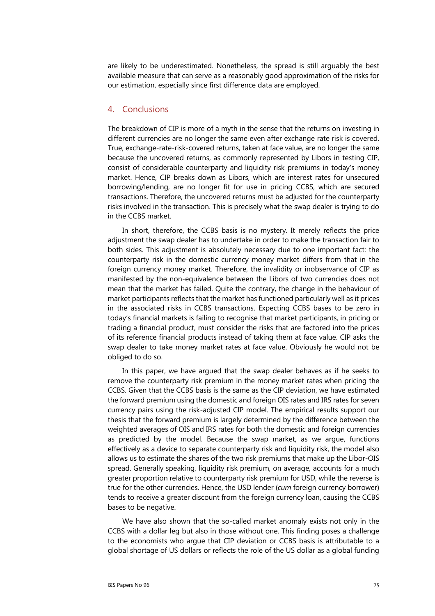are likely to be underestimated. Nonetheless, the spread is still arguably the best available measure that can serve as a reasonably good approximation of the risks for our estimation, especially since first difference data are employed.

### 4. Conclusions

The breakdown of CIP is more of a myth in the sense that the returns on investing in different currencies are no longer the same even after exchange rate risk is covered. True, exchange-rate-risk-covered returns, taken at face value, are no longer the same because the uncovered returns, as commonly represented by Libors in testing CIP, consist of considerable counterparty and liquidity risk premiums in today's money market. Hence, CIP breaks down as Libors, which are interest rates for unsecured borrowing/lending, are no longer fit for use in pricing CCBS, which are secured transactions. Therefore, the uncovered returns must be adjusted for the counterparty risks involved in the transaction. This is precisely what the swap dealer is trying to do in the CCBS market.

In short, therefore, the CCBS basis is no mystery. It merely reflects the price adjustment the swap dealer has to undertake in order to make the transaction fair to both sides. This adjustment is absolutely necessary due to one important fact: the counterparty risk in the domestic currency money market differs from that in the foreign currency money market. Therefore, the invalidity or inobservance of CIP as manifested by the non-equivalence between the Libors of two currencies does not mean that the market has failed. Quite the contrary, the change in the behaviour of market participants reflects that the market has functioned particularly well as it prices in the associated risks in CCBS transactions. Expecting CCBS bases to be zero in today's financial markets is failing to recognise that market participants, in pricing or trading a financial product, must consider the risks that are factored into the prices of its reference financial products instead of taking them at face value. CIP asks the swap dealer to take money market rates at face value. Obviously he would not be obliged to do so.

In this paper, we have argued that the swap dealer behaves as if he seeks to remove the counterparty risk premium in the money market rates when pricing the CCBS. Given that the CCBS basis is the same as the CIP deviation, we have estimated the forward premium using the domestic and foreign OIS rates and IRS rates for seven currency pairs using the risk-adjusted CIP model. The empirical results support our thesis that the forward premium is largely determined by the difference between the weighted averages of OIS and IRS rates for both the domestic and foreign currencies as predicted by the model. Because the swap market, as we argue, functions effectively as a device to separate counterparty risk and liquidity risk, the model also allows us to estimate the shares of the two risk premiums that make up the Libor-OIS spread. Generally speaking, liquidity risk premium, on average, accounts for a much greater proportion relative to counterparty risk premium for USD, while the reverse is true for the other currencies. Hence, the USD lender (*cum* foreign currency borrower) tends to receive a greater discount from the foreign currency loan, causing the CCBS bases to be negative.

We have also shown that the so-called market anomaly exists not only in the CCBS with a dollar leg but also in those without one. This finding poses a challenge to the economists who argue that CIP deviation or CCBS basis is attributable to a global shortage of US dollars or reflects the role of the US dollar as a global funding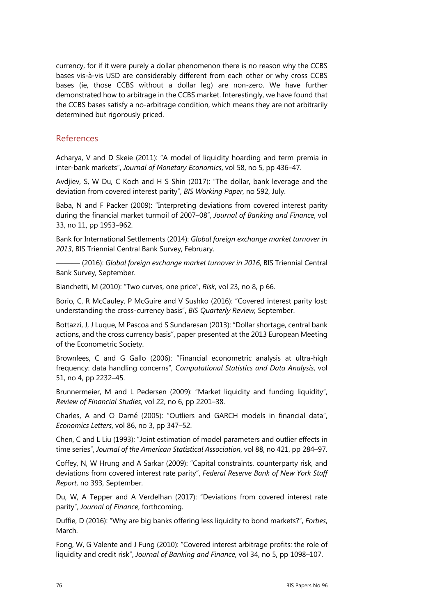currency, for if it were purely a dollar phenomenon there is no reason why the CCBS bases vis-à-vis USD are considerably different from each other or why cross CCBS bases (ie, those CCBS without a dollar leg) are non-zero. We have further demonstrated how to arbitrage in the CCBS market. Interestingly, we have found that the CCBS bases satisfy a no-arbitrage condition, which means they are not arbitrarily determined but rigorously priced.

## References

Acharya, V and D Skeie (2011): "A model of liquidity hoarding and term premia in inter-bank markets", *Journal of Monetary Economics*, vol 58, no 5, pp 436–47.

Avdjiev, S, W Du, C Koch and H S Shin (2017): "The dollar, bank leverage and the deviation from covered interest parity", *BIS Working Paper*, no 592, July.

Baba, N and F Packer (2009): "Interpreting deviations from covered interest parity during the financial market turmoil of 2007–08", *Journal of Banking and Finance*, vol 33, no 11, pp 1953–962.

Bank for International Settlements (2014): *Global foreign exchange market turnover in 2013*, BIS Triennial Central Bank Survey, February.

——— (2016): *Global foreign exchange market turnover in 2016*, BIS Triennial Central Bank Survey, September.

Bianchetti, M (2010): "Two curves, one price", *Risk*, vol 23, no 8, p 66.

Borio, C, R McCauley, P McGuire and V Sushko (2016): "Covered interest parity lost: understanding the cross-currency basis", *BIS Quarterly Review,* September.

Bottazzi, J, J Luque, M Pascoa and S Sundaresan (2013): "Dollar shortage, central bank actions, and the cross currency basis", paper presented at the 2013 European Meeting of the Econometric Society.

Brownlees, C and G Gallo (2006): "Financial econometric analysis at ultra-high frequency: data handling concerns", *Computational Statistics and Data Analysis*, vol 51, no 4, pp 2232–45.

Brunnermeier, M and L Pedersen (2009): "Market liquidity and funding liquidity", *Review of Financial Studies*, vol 22, no 6, pp 2201–38.

Charles, A and O Darné (2005): "Outliers and GARCH models in financial data", *Economics Letters*, vol 86, no 3, pp 347–52.

Chen, C and L Liu (1993): "Joint estimation of model parameters and outlier effects in time series", *Journal of the American Statistical Association*, vol 88, no 421, pp 284–97.

Coffey, N, W Hrung and A Sarkar (2009): "Capital constraints, counterparty risk, and deviations from covered interest rate parity", *Federal Reserve Bank of New York Staff Report*, no 393, September.

Du, W, A Tepper and A Verdelhan (2017): "Deviations from covered interest rate parity", *Journal of Finance*, forthcoming.

Duffie, D (2016): "Why are big banks offering less liquidity to bond markets?", *Forbes*, March.

Fong, W, G Valente and J Fung (2010): "Covered interest arbitrage profits: the role of liquidity and credit risk", *Journal of Banking and Finance*, vol 34, no 5, pp 1098–107.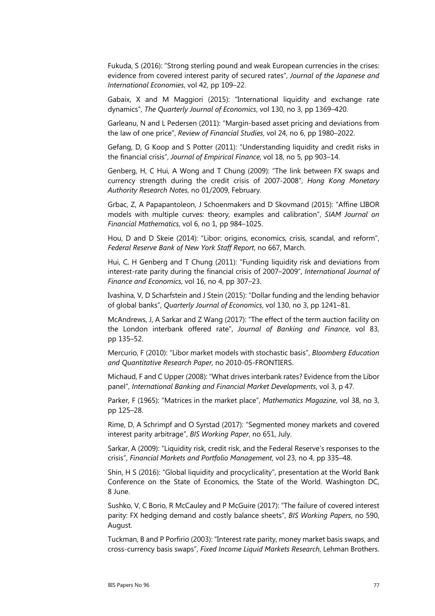Fukuda, S (2016): "Strong sterling pound and weak European currencies in the crises: evidence from covered interest parity of secured rates", *Journal of the Japanese and International Economies*, vol 42, pp 109–22.

Gabaix, X and M Maggiori (2015): "International liquidity and exchange rate dynamics", *The Quarterly Journal of Economics*, vol 130, no 3, pp 1369–420.

Garleanu, N and L Pedersen (2011): "Margin-based asset pricing and deviations from the law of one price", *Review of Financial Studies*, vol 24, no 6, pp 1980–2022.

Gefang, D, G Koop and S Potter (2011): "Understanding liquidity and credit risks in the financial crisis", *Journal of Empirical Finance*, vol 18, no 5, pp 903–14.

Genberg, H, C Hui, A Wong and T Chung (2009): "The link between FX swaps and currency strength during the credit crisis of 2007-2008", *Hong Kong Monetary Authority Research Notes*, no 01/2009, February.

Grbac, Z, A Papapantoleon, J Schoenmakers and D Skovmand (2015): "Affine LIBOR models with multiple curves: theory, examples and calibration", *SIAM Journal on Financial Mathematics*, vol 6, no 1, pp 984–1025.

Hou, D and D Skeie (2014): "Libor: origins, economics, crisis, scandal, and reform", *Federal Reserve Bank of New York Staff Report*, no 667, March.

Hui, C, H Genberg and T Chung (2011): "Funding liquidity risk and deviations from interest-rate parity during the financial crisis of 2007–2009", *International Journal of Finance and Economics*, vol 16, no 4, pp 307–23.

Ivashina, V, D Scharfstein and J Stein (2015): "Dollar funding and the lending behavior of global banks", *Quarterly Journal of Economics*, vol 130, no 3, pp 1241–81.

McAndrews, J, A Sarkar and Z Wang (2017): "The effect of the term auction facility on the London interbank offered rate", *Journal of Banking and Finance*, vol 83, pp 135–52.

Mercurio, F (2010): "Libor market models with stochastic basis", *Bloomberg Education and Quantitative Research Paper,* no 2010-05-FRONTIERS.

Michaud, F and C Upper (2008): "What drives interbank rates? Evidence from the Libor panel", *International Banking and Financial Market Developments*, vol 3, p 47.

Parker, F (1965): "Matrices in the market place", *Mathematics Magazine*, vol 38, no 3, pp 125–28.

Rime, D, A Schrimpf and O Syrstad (2017): "Segmented money markets and covered interest parity arbitrage", *BIS Working Paper*, no 651, July.

Sarkar, A (2009): "Liquidity risk, credit risk, and the Federal Reserve's responses to the crisis", *Financial Markets and Portfolio Management*, vol 23, no 4, pp 335–48.

Shin, H S (2016): "Global liquidity and procyclicality", presentation at the World Bank Conference on the State of Economics, the State of the World. Washington DC, 8 June.

Sushko, V, C Borio, R McCauley and P McGuire (2017): "The failure of covered interest parity: FX hedging demand and costly balance sheets", *BIS Working Papers*, no 590, August.

Tuckman, B and P Porfirio (2003): "Interest rate parity, money market basis swaps, and cross-currency basis swaps", *Fixed Income Liquid Markets Research*, Lehman Brothers.